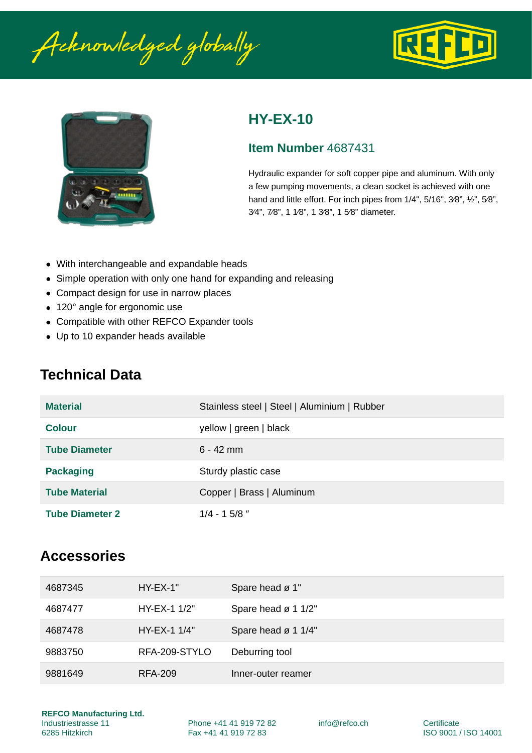Acknowledged globally





### **HY-EX-10**

#### **Item Number** 4687431

Hydraulic expander for soft copper pipe and aluminum. With only a few pumping movements, a clean socket is achieved with one hand and little effort. For inch pipes from 1/4", 5/16", 3⁄8", 1⁄2", 5⁄8", 3⁄4", 7⁄8", 1 1⁄8", 1 3⁄8", 1 5⁄8" diameter.

- With interchangeable and expandable heads
- Simple operation with only one hand for expanding and releasing
- Compact design for use in narrow places
- 120° angle for ergonomic use
- Compatible with other REFCO Expander tools
- Up to 10 expander heads available

## **Technical Data**

| <b>Material</b>        | Stainless steel   Steel   Aluminium   Rubber |
|------------------------|----------------------------------------------|
| Colour                 | yellow   green   black                       |
| <b>Tube Diameter</b>   | $6 - 42$ mm                                  |
| <b>Packaging</b>       | Sturdy plastic case                          |
| <b>Tube Material</b>   | Copper   Brass   Aluminum                    |
| <b>Tube Diameter 2</b> | $1/4 - 15/8$ "                               |

## **Accessories**

| 4687345 | $HY-EX-1"$    | Spare head ø 1"                 |
|---------|---------------|---------------------------------|
| 4687477 | $HY-EX-11/2"$ | Spare head $\varnothing$ 1 1/2" |
| 4687478 | HY-EX-1 1/4"  | Spare head ø 1 1/4"             |
| 9883750 | RFA-209-STYLO | Deburring tool                  |
| 9881649 | RFA-209       | Inner-outer reamer              |

Phone +41 41 919 72 82 Fax +41 41 919 72 83

info@refco.ch Certificate